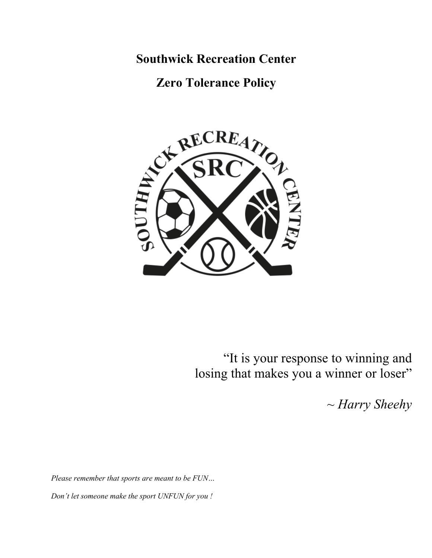**Southwick Recreation Center**

**Zero Tolerance Policy**



"It is your response to winning and losing that makes you a winner or loser"

*~ Harry Sheehy*

*Please remember that sports are meant to be FUN… Don't let someone make the sport UNFUN for you !*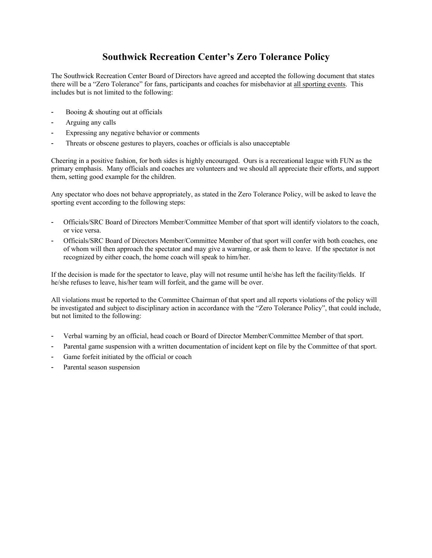# **Southwick Recreation Center's Zero Tolerance Policy**

The Southwick Recreation Center Board of Directors have agreed and accepted the following document that states there will be a "Zero Tolerance" for fans, participants and coaches for misbehavior at all sporting events. This includes but is not limited to the following:

- Booing & shouting out at officials
- Arguing any calls
- ! Expressing any negative behavior or comments
- ! Threats or obscene gestures to players, coaches or officials is also unacceptable

Cheering in a positive fashion, for both sides is highly encouraged. Ours is a recreational league with FUN as the primary emphasis. Many officials and coaches are volunteers and we should all appreciate their efforts, and support them, setting good example for the children.

Any spectator who does not behave appropriately, as stated in the Zero Tolerance Policy, will be asked to leave the sporting event according to the following steps:

- ! Officials/SRC Board of Directors Member/Committee Member of that sport will identify violators to the coach, or vice versa.
- ! Officials/SRC Board of Directors Member/Committee Member of that sport will confer with both coaches, one of whom will then approach the spectator and may give a warning, or ask them to leave. If the spectator is not recognized by either coach, the home coach will speak to him/her.

If the decision is made for the spectator to leave, play will not resume until he/she has left the facility/fields. If he/she refuses to leave, his/her team will forfeit, and the game will be over.

All violations must be reported to the Committee Chairman of that sport and all reports violations of the policy will be investigated and subject to disciplinary action in accordance with the "Zero Tolerance Policy", that could include, but not limited to the following:

- ! Verbal warning by an official, head coach or Board of Director Member/Committee Member of that sport.
- ! Parental game suspension with a written documentation of incident kept on file by the Committee of that sport.
- Game forfeit initiated by the official or coach
- Parental season suspension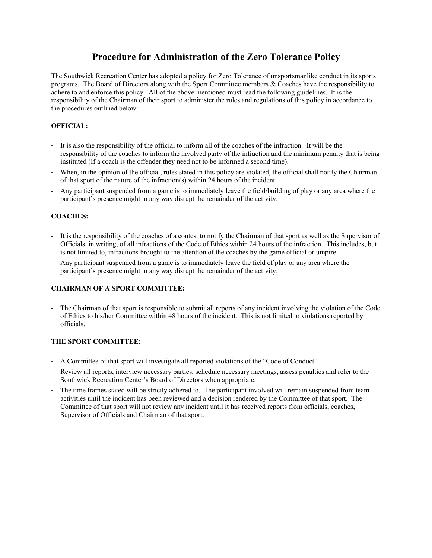## **Procedure for Administration of the Zero Tolerance Policy**

The Southwick Recreation Center has adopted a policy for Zero Tolerance of unsportsmanlike conduct in its sports programs. The Board of Directors along with the Sport Committee members & Coaches have the responsibility to adhere to and enforce this policy. All of the above mentioned must read the following guidelines. It is the responsibility of the Chairman of their sport to administer the rules and regulations of this policy in accordance to the procedures outlined below:

#### **OFFICIAL:**

- ! It is also the responsibility of the official to inform all of the coaches of the infraction. It will be the responsibility of the coaches to inform the involved party of the infraction and the minimum penalty that is being instituted (If a coach is the offender they need not to be informed a second time).
- ! When, in the opinion of the official, rules stated in this policy are violated, the official shall notify the Chairman of that sport of the nature of the infraction(s) within 24 hours of the incident.
- ! Any participant suspended from a game is to immediately leave the field/building of play or any area where the participant's presence might in any way disrupt the remainder of the activity.

#### **COACHES:**

- ! It is the responsibility of the coaches of a contest to notify the Chairman of that sport as well as the Supervisor of Officials, in writing, of all infractions of the Code of Ethics within 24 hours of the infraction. This includes, but is not limited to, infractions brought to the attention of the coaches by the game official or umpire.
- ! Any participant suspended from a game is to immediately leave the field of play or any area where the participant's presence might in any way disrupt the remainder of the activity.

#### **CHAIRMAN OF A SPORT COMMITTEE:**

! The Chairman of that sport is responsible to submit all reports of any incident involving the violation of the Code of Ethics to his/her Committee within 48 hours of the incident. This is not limited to violations reported by officials.

#### **THE SPORT COMMITTEE:**

- ! A Committee of that sport will investigate all reported violations of the "Code of Conduct".
- ! Review all reports, interview necessary parties, schedule necessary meetings, assess penalties and refer to the Southwick Recreation Center's Board of Directors when appropriate.
- ! The time frames stated will be strictly adhered to. The participant involved will remain suspended from team activities until the incident has been reviewed and a decision rendered by the Committee of that sport. The Committee of that sport will not review any incident until it has received reports from officials, coaches, Supervisor of Officials and Chairman of that sport.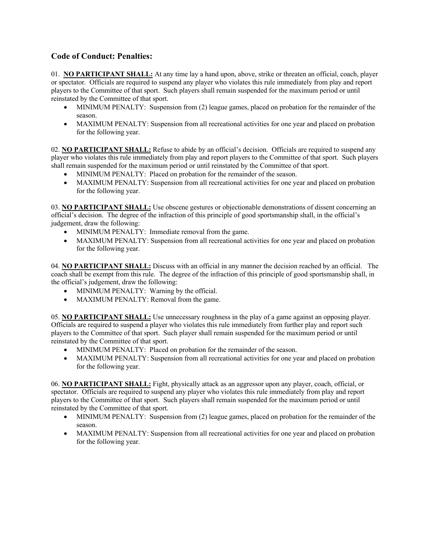## **Code of Conduct: Penalties:**

01. **NO PARTICIPANT SHALL:** At any time lay a hand upon, above, strike or threaten an official, coach, player or spectator. Officials are required to suspend any player who violates this rule immediately from play and report players to the Committee of that sport. Such players shall remain suspended for the maximum period or until reinstated by the Committee of that sport.

- MINIMUM PENALTY: Suspension from (2) league games, placed on probation for the remainder of the season.
- MAXIMUM PENALTY: Suspension from all recreational activities for one year and placed on probation for the following year.

02. **NO PARTICIPANT SHALL:** Refuse to abide by an official's decision. Officials are required to suspend any player who violates this rule immediately from play and report players to the Committee of that sport. Such players shall remain suspended for the maximum period or until reinstated by the Committee of that sport.

- MINIMUM PENALTY: Placed on probation for the remainder of the season.
- MAXIMUM PENALTY: Suspension from all recreational activities for one year and placed on probation for the following year.

03. **NO PARTICIPANT SHALL:** Use obscene gestures or objectionable demonstrations of dissent concerning an official's decision. The degree of the infraction of this principle of good sportsmanship shall, in the official's judgement, draw the following:

- MINIMUM PENALTY: Immediate removal from the game.
- MAXIMUM PENALTY: Suspension from all recreational activities for one year and placed on probation for the following year.

04. **NO PARTICIPANT SHALL:** Discuss with an official in any manner the decision reached by an official. The coach shall be exempt from this rule. The degree of the infraction of this principle of good sportsmanship shall, in the official's judgement, draw the following:

- MINIMUM PENALTY: Warning by the official.
- MAXIMUM PENALTY: Removal from the game.

05. **NO PARTICIPANT SHALL:** Use unnecessary roughness in the play of a game against an opposing player. Officials are required to suspend a player who violates this rule immediately from further play and report such players to the Committee of that sport. Such player shall remain suspended for the maximum period or until reinstated by the Committee of that sport.

- MINIMUM PENALTY: Placed on probation for the remainder of the season.
- MAXIMUM PENALTY: Suspension from all recreational activities for one year and placed on probation for the following year.

06. **NO PARTICIPANT SHALL:** Fight, physically attack as an aggressor upon any player, coach, official, or spectator. Officials are required to suspend any player who violates this rule immediately from play and report players to the Committee of that sport. Such players shall remain suspended for the maximum period or until reinstated by the Committee of that sport.

- MINIMUM PENALTY: Suspension from (2) league games, placed on probation for the remainder of the season.
- MAXIMUM PENALTY: Suspension from all recreational activities for one year and placed on probation for the following year.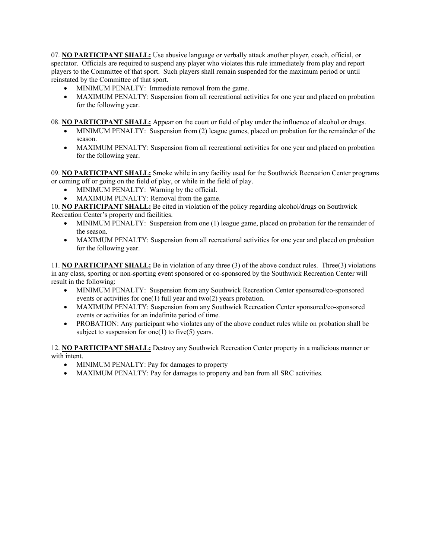07. **NO PARTICIPANT SHALL:** Use abusive language or verbally attack another player, coach, official, or spectator. Officials are required to suspend any player who violates this rule immediately from play and report players to the Committee of that sport. Such players shall remain suspended for the maximum period or until reinstated by the Committee of that sport.

- MINIMUM PENALTY: Immediate removal from the game.
- MAXIMUM PENALTY: Suspension from all recreational activities for one year and placed on probation for the following year.

08. **NO PARTICIPANT SHALL:** Appear on the court or field of play under the influence of alcohol or drugs.

- MINIMUM PENALTY: Suspension from (2) league games, placed on probation for the remainder of the season.
- MAXIMUM PENALTY: Suspension from all recreational activities for one year and placed on probation for the following year.

09. **NO PARTICIPANT SHALL:** Smoke while in any facility used for the Southwick Recreation Center programs or coming off or going on the field of play, or while in the field of play.

- MINIMUM PENALTY: Warning by the official.
- MAXIMUM PENALTY: Removal from the game.

10. **NO PARTICIPANT SHALL:** Be cited in violation of the policy regarding alcohol/drugs on Southwick Recreation Center's property and facilities.

- MINIMUM PENALTY: Suspension from one (1) league game, placed on probation for the remainder of the season.
- MAXIMUM PENALTY: Suspension from all recreational activities for one year and placed on probation for the following year.

11. **NO PARTICIPANT SHALL:** Be in violation of any three (3) of the above conduct rules. Three(3) violations in any class, sporting or non-sporting event sponsored or co-sponsored by the Southwick Recreation Center will result in the following:

- MINIMUM PENALTY: Suspension from any Southwick Recreation Center sponsored/co-sponsored events or activities for one(1) full year and two(2) years probation.
- MAXIMUM PENALTY: Suspension from any Southwick Recreation Center sponsored/co-sponsored events or activities for an indefinite period of time.
- PROBATION: Any participant who violates any of the above conduct rules while on probation shall be subject to suspension for one(1) to five(5) years.

12. **NO PARTICIPANT SHALL:** Destroy any Southwick Recreation Center property in a malicious manner or with intent.

- MINIMUM PENALTY: Pay for damages to property
- MAXIMUM PENALTY: Pay for damages to property and ban from all SRC activities.